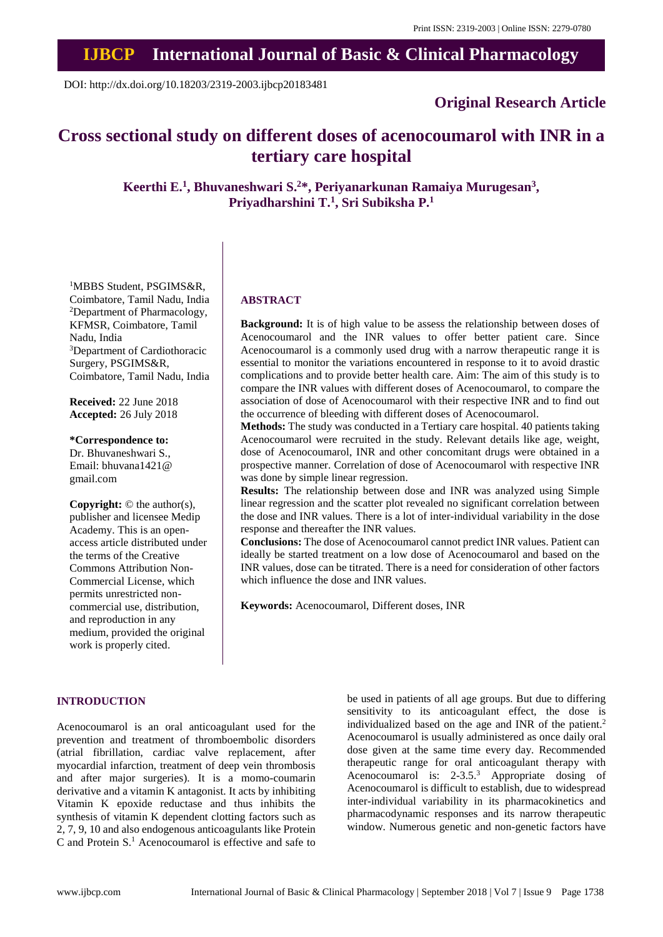# **IJBCP International Journal of Basic & Clinical Pharmacology**

DOI: http://dx.doi.org/10.18203/2319-2003.ijbcp20183481

# **Original Research Article**

# **Cross sectional study on different doses of acenocoumarol with INR in a tertiary care hospital**

**Keerthi E.<sup>1</sup> , Bhuvaneshwari S.<sup>2</sup>\*, Periyanarkunan Ramaiya Murugesan<sup>3</sup> , Priyadharshini T.<sup>1</sup> , Sri Subiksha P.<sup>1</sup>**

<sup>1</sup>MBBS Student, PSGIMS&R, Coimbatore, Tamil Nadu, India <sup>2</sup>Department of Pharmacology, KFMSR, Coimbatore, Tamil Nadu, India <sup>3</sup>Department of Cardiothoracic Surgery, PSGIMS&R, Coimbatore, Tamil Nadu, India

**Received:** 22 June 2018 **Accepted:** 26 July 2018

**\*Correspondence to:** Dr. Bhuvaneshwari S., Email: bhuvana1421@ gmail.com

**Copyright:** © the author(s), publisher and licensee Medip Academy. This is an openaccess article distributed under the terms of the Creative Commons Attribution Non-Commercial License, which permits unrestricted noncommercial use, distribution, and reproduction in any medium, provided the original work is properly cited.

## **ABSTRACT**

**Background:** It is of high value to be assess the relationship between doses of Acenocoumarol and the INR values to offer better patient care. Since Acenocoumarol is a commonly used drug with a narrow therapeutic range it is essential to monitor the variations encountered in response to it to avoid drastic complications and to provide better health care. Aim: The aim of this study is to compare the INR values with different doses of Acenocoumarol, to compare the association of dose of Acenocoumarol with their respective INR and to find out the occurrence of bleeding with different doses of Acenocoumarol.

**Methods:** The study was conducted in a Tertiary care hospital. 40 patients taking Acenocoumarol were recruited in the study. Relevant details like age, weight, dose of Acenocoumarol, INR and other concomitant drugs were obtained in a prospective manner. Correlation of dose of Acenocoumarol with respective INR was done by simple linear regression.

**Results:** The relationship between dose and INR was analyzed using Simple linear regression and the scatter plot revealed no significant correlation between the dose and INR values. There is a lot of inter-individual variability in the dose response and thereafter the INR values.

**Conclusions:** The dose of Acenocoumarol cannot predict INR values. Patient can ideally be started treatment on a low dose of Acenocoumarol and based on the INR values, dose can be titrated. There is a need for consideration of other factors which influence the dose and INR values.

**Keywords:** Acenocoumarol, Different doses, INR

# **INTRODUCTION**

Acenocoumarol is an oral anticoagulant used for the prevention and treatment of thromboembolic disorders (atrial fibrillation, cardiac valve replacement, after myocardial infarction, treatment of deep vein thrombosis and after major surgeries). It is a momo-coumarin derivative and a vitamin K antagonist. It acts by inhibiting Vitamin K epoxide reductase and thus inhibits the synthesis of vitamin K dependent clotting factors such as 2, 7, 9, 10 and also endogenous anticoagulants like Protein C and Protein S.<sup>1</sup> Acenocoumarol is effective and safe to be used in patients of all age groups. But due to differing sensitivity to its anticoagulant effect, the dose is individualized based on the age and INR of the patient.<sup>2</sup> Acenocoumarol is usually administered as once daily oral dose given at the same time every day. Recommended therapeutic range for oral anticoagulant therapy with Acenocoumarol is: 2-3.5.<sup>3</sup> Appropriate dosing of Acenocoumarol is difficult to establish, due to widespread inter-individual variability in its pharmacokinetics and pharmacodynamic responses and its narrow therapeutic window. Numerous genetic and non-genetic factors have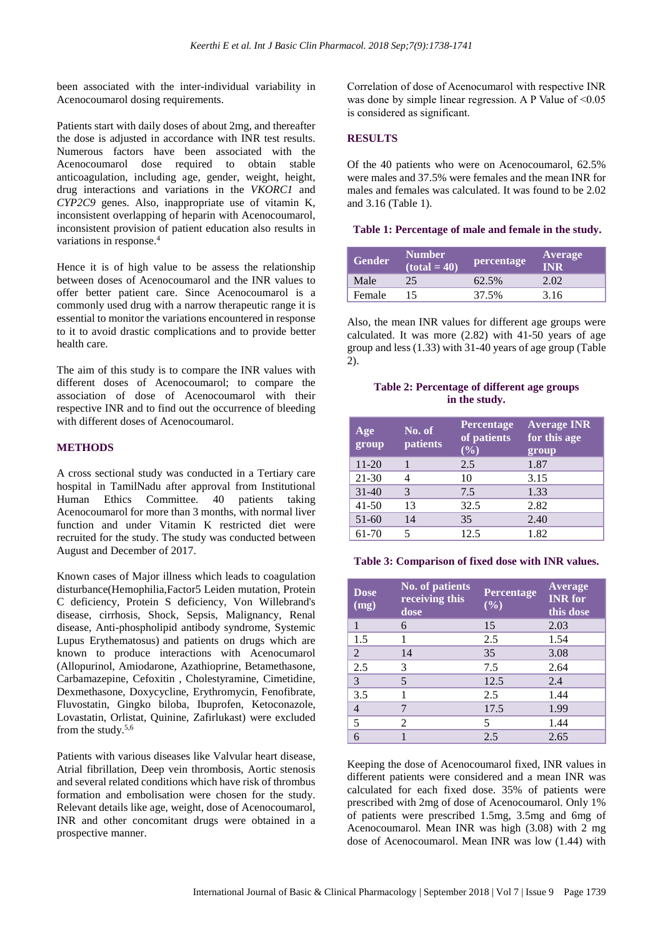been associated with the inter-individual variability in Acenocoumarol dosing requirements.

Patients start with daily doses of about 2mg, and thereafter the dose is adjusted in accordance with INR test results. Numerous factors have been associated with the Acenocoumarol dose required to obtain stable anticoagulation, including age, gender, weight, height, drug interactions and variations in the *VKORC1* and *CYP2C9* genes. Also, inappropriate use of vitamin K, inconsistent overlapping of heparin with Acenocoumarol, inconsistent provision of patient education also results in variations in response. 4

Hence it is of high value to be assess the relationship between doses of Acenocoumarol and the INR values to offer better patient care. Since Acenocoumarol is a commonly used drug with a narrow therapeutic range it is essential to monitor the variations encountered in response to it to avoid drastic complications and to provide better health care.

The aim of this study is to compare the INR values with different doses of Acenocoumarol; to compare the association of dose of Acenocoumarol with their respective INR and to find out the occurrence of bleeding with different doses of Acenocoumarol.

#### **METHODS**

A cross sectional study was conducted in a Tertiary care hospital in TamilNadu after approval from Institutional Human Ethics Committee. 40 patients taking Acenocoumarol for more than 3 months, with normal liver function and under Vitamin K restricted diet were recruited for the study. The study was conducted between August and December of 2017.

Known cases of Major illness which leads to coagulation disturbance(Hemophilia,Factor5 Leiden mutation, Protein C deficiency, Protein S deficiency, Von Willebrand's disease, cirrhosis, Shock, Sepsis, Malignancy, Renal disease, Anti-phospholipid antibody syndrome, Systemic Lupus Erythematosus) and patients on drugs which are known to produce interactions with Acenocumarol (Allopurinol, Amiodarone, Azathioprine, Betamethasone, Carbamazepine, Cefoxitin , Cholestyramine, Cimetidine, Dexmethasone, Doxycycline, Erythromycin, Fenofibrate, Fluvostatin, Gingko biloba, Ibuprofen, Ketoconazole, Lovastatin, Orlistat, Quinine, Zafirlukast) were excluded from the study.5,6

Patients with various diseases like Valvular heart disease, Atrial fibrillation, Deep vein thrombosis, Aortic stenosis and several related conditions which have risk of thrombus formation and embolisation were chosen for the study. Relevant details like age, weight, dose of Acenocoumarol, INR and other concomitant drugs were obtained in a prospective manner.

Correlation of dose of Acenocumarol with respective INR was done by simple linear regression. A P Value of  $\leq 0.05$ is considered as significant.

# **RESULTS**

Of the 40 patients who were on Acenocoumarol, 62.5% were males and 37.5% were females and the mean INR for males and females was calculated. It was found to be 2.02 and 3.16 (Table 1).

#### **Table 1: Percentage of male and female in the study.**

| <b>Gender</b> | <b>Number</b><br>$(total = 40)$ | percentage | <b>Average</b><br>INR |
|---------------|---------------------------------|------------|-----------------------|
| Male          | 25.                             | 62.5%      | 2.02                  |
| Female        |                                 | 37.5%      | 3.16                  |

Also, the mean INR values for different age groups were calculated. It was more (2.82) with 41-50 years of age group and less (1.33) with 31-40 years of age group (Table 2).

### **Table 2: Percentage of different age groups in the study.**

| Age<br>group | No. of<br>patients | <b>Percentage</b><br>of patients<br>$(\%)$ | <b>Average INR</b><br>for this age<br>group |
|--------------|--------------------|--------------------------------------------|---------------------------------------------|
| $11 - 20$    |                    | 2.5                                        | 1.87                                        |
| 21-30        |                    | 10                                         | 3.15                                        |
| $31 - 40$    | 3                  | 7.5                                        | 1.33                                        |
| $41 - 50$    | 13                 | 32.5                                       | 2.82                                        |
| $51-60$      | 14                 | 35                                         | 2.40                                        |
| 61-70        |                    | 12.5                                       | 1.82                                        |

**Table 3: Comparison of fixed dose with INR values.**

| <b>Dose</b><br>(mg) | <b>No. of patients</b><br>receiving this<br>dose | Percentage<br>$(\%)$ | Average<br><b>INR</b> for<br>this dose |
|---------------------|--------------------------------------------------|----------------------|----------------------------------------|
| 1                   | 6                                                | 15                   | 2.03                                   |
| 1.5                 |                                                  | 2.5                  | 1.54                                   |
| $\overline{2}$      | 14                                               | 35                   | 3.08                                   |
| 2.5                 | 3                                                | 7.5                  | 2.64                                   |
| 3                   | 5                                                | 12.5                 | 2.4                                    |
| 3.5                 |                                                  | 2.5                  | 1.44                                   |
| 4                   | 7                                                | 17.5                 | 1.99                                   |
| 5                   | 2                                                | 5                    | 1.44                                   |
| 6                   |                                                  | 2.5                  | 2.65                                   |

Keeping the dose of Acenocoumarol fixed, INR values in different patients were considered and a mean INR was calculated for each fixed dose. 35% of patients were prescribed with 2mg of dose of Acenocoumarol. Only 1% of patients were prescribed 1.5mg, 3.5mg and 6mg of Acenocoumarol. Mean INR was high (3.08) with 2 mg dose of Acenocoumarol. Mean INR was low (1.44) with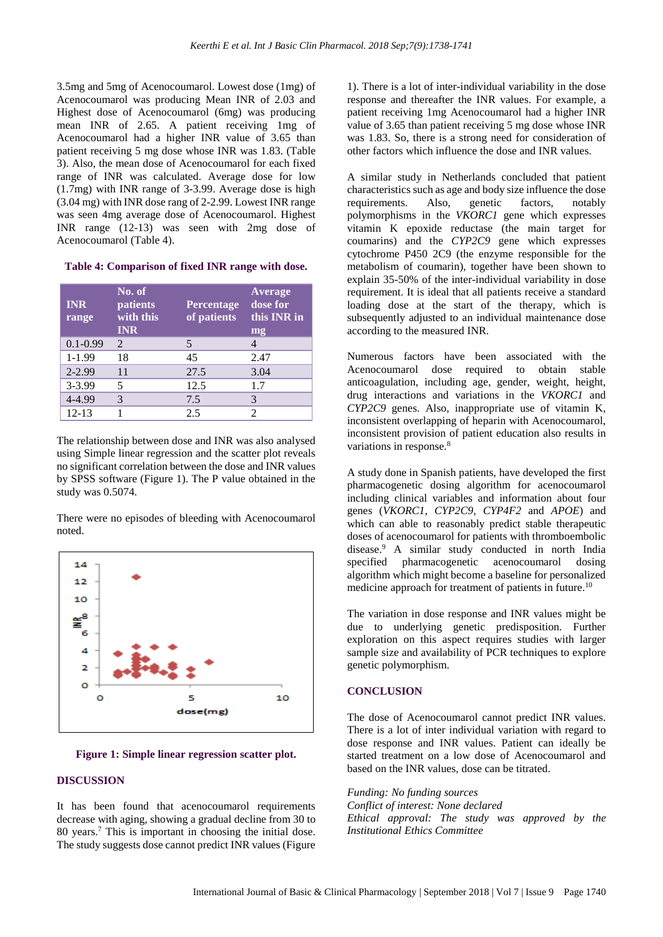3.5mg and 5mg of Acenocoumarol. Lowest dose (1mg) of Acenocoumarol was producing Mean INR of 2.03 and Highest dose of Acenocoumarol (6mg) was producing mean INR of 2.65. A patient receiving 1mg of Acenocoumarol had a higher INR value of 3.65 than patient receiving 5 mg dose whose INR was 1.83. (Table 3). Also, the mean dose of Acenocoumarol for each fixed range of INR was calculated. Average dose for low (1.7mg) with INR range of 3-3.99. Average dose is high (3.04 mg) with INR dose rang of 2-2.99. Lowest INR range was seen 4mg average dose of Acenocoumarol. Highest INR range (12-13) was seen with 2mg dose of Acenocoumarol (Table 4).

**Table 4: Comparison of fixed INR range with dose.**

| <b>INR</b><br>range | No. of<br>patients<br>with this<br><b>INR</b> | <b>Percentage</b><br>of patients | Average<br>dose for<br>this INR in<br>mg |
|---------------------|-----------------------------------------------|----------------------------------|------------------------------------------|
| $0.1 - 0.99$        | $\mathcal{D}_{\mathcal{L}}$                   | 5                                |                                          |
| $1-1.99$            | 18                                            | 45                               | 2.47                                     |
| 2-2.99              | 11                                            | 27.5                             | 3.04                                     |
| $3 - 3.99$          | 5                                             | 12.5                             | 1.7                                      |
| 4-4.99              | 3                                             | 7.5                              |                                          |
| $12 - 13$           |                                               | 2.5                              |                                          |

The relationship between dose and INR was also analysed using Simple linear regression and the scatter plot reveals no significant correlation between the dose and INR values by SPSS software (Figure 1). The P value obtained in the study was 0.5074.

There were no episodes of bleeding with Acenocoumarol noted.



**Figure 1: Simple linear regression scatter plot.**

#### **DISCUSSION**

It has been found that acenocoumarol requirements decrease with aging, showing a gradual decline from 30 to 80 years.<sup>7</sup> This is important in choosing the initial dose. The study suggests dose cannot predict INR values (Figure

1). There is a lot of inter-individual variability in the dose response and thereafter the INR values. For example, a patient receiving 1mg Acenocoumarol had a higher INR value of 3.65 than patient receiving 5 mg dose whose INR was 1.83. So, there is a strong need for consideration of other factors which influence the dose and INR values.

A similar study in Netherlands concluded that patient characteristics such as age and body size influence the dose requirements. Also, genetic factors, notably polymorphisms in the *VKORC1* gene which expresses vitamin K epoxide reductase (the main target for coumarins) and the *CYP2C9* gene which expresses cytochrome P450 2C9 (the enzyme responsible for the metabolism of coumarin), together have been shown to explain 35-50% of the inter-individual variability in dose requirement. It is ideal that all patients receive a standard loading dose at the start of the therapy, which is subsequently adjusted to an individual maintenance dose according to the measured INR.

Numerous factors have been associated with the Acenocoumarol dose required to obtain stable anticoagulation, including age, gender, weight, height, drug interactions and variations in the *VKORC1* and *CYP2C9* genes. Also, inappropriate use of vitamin K, inconsistent overlapping of heparin with Acenocoumarol, inconsistent provision of patient education also results in variations in response*.* 8

A study done in Spanish patients, have developed the first pharmacogenetic dosing algorithm for acenocoumarol including clinical variables and information about four genes (*VKORC1, CYP2C9, CYP4F2* and *APOE*) and which can able to reasonably predict stable therapeutic doses of acenocoumarol for patients with thromboembolic disease.<sup>9</sup> A similar study conducted in north India specified pharmacogenetic acenocoumarol dosing algorithm which might become a baseline for personalized medicine approach for treatment of patients in future.<sup>10</sup>

The variation in dose response and INR values might be due to underlying genetic predisposition. Further exploration on this aspect requires studies with larger sample size and availability of PCR techniques to explore genetic polymorphism.

## **CONCLUSION**

The dose of Acenocoumarol cannot predict INR values. There is a lot of inter individual variation with regard to dose response and INR values. Patient can ideally be started treatment on a low dose of Acenocoumarol and based on the INR values, dose can be titrated.

*Funding: No funding sources Conflict of interest: None declared Ethical approval: The study was approved by the Institutional Ethics Committee*